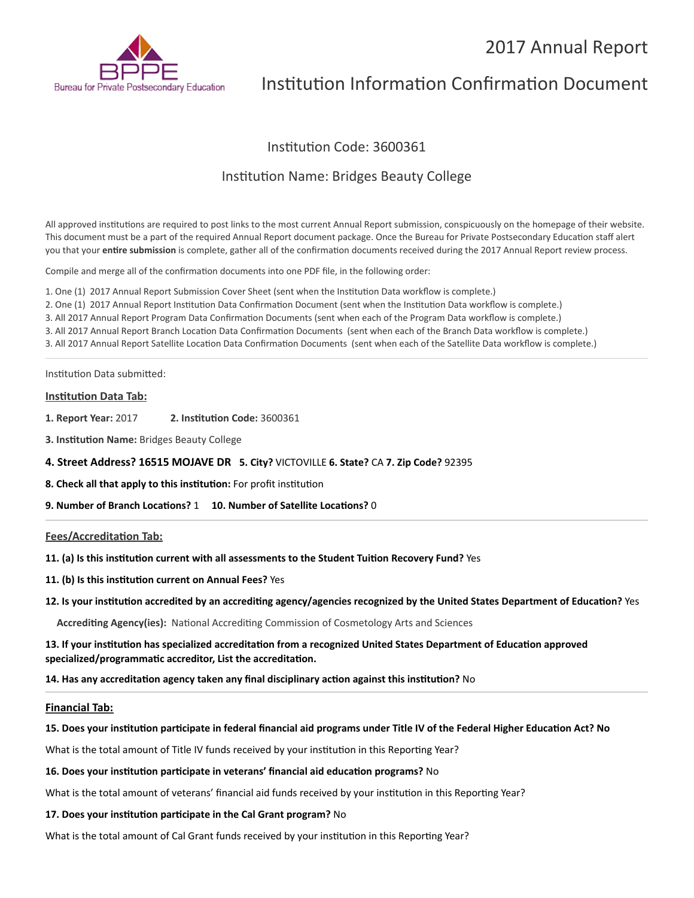# 2017 Annual Report



# Institution Information Confirmation Document

# Institution Code: 3600361

# Institution Name: Bridges Beauty College

All approved institutions are required to post links to the most current Annual Report submission, conspicuously on the homepage of their website. This document must be a part of the required Annual Report document package. Once the Bureau for Private Postsecondary Education staff alert you that your **entire submission** is complete, gather all of the confirmation documents received during the 2017 Annual Report review process.

Compile and merge all of the confirmation documents into one PDF file, in the following order:

1. One (1) 2017 Annual Report Submission Cover Sheet (sent when the Institution Data workflow is complete.) 2. One (1) 2017 Annual Report Institution Data Confirmation Document (sent when the Institution Data workflow is complete.) 3. All 2017 Annual Report Program Data Confirmation Documents (sent when each of the Program Data workflow is complete.) 3. All 2017 Annual Report Branch Location Data Confirmation Documents (sent when each of the Branch Data workflow is complete.) 3. All 2017 Annual Report Satellite Location Data Confirmation Documents (sent when each of the Satellite Data workflow is complete.)

Institution Data submitted:

## **Institution Data Tab:**

**1. Report Year:** 2017 **2. Institution Code:** 3600361

**3. Institution Name:** Bridges Beauty College

## **4. Street Address? 16515 MOJAVE DR 5. City?** VICTOVILLE **6. State?** CA **7. Zip Code?** 92395

**8. Check all that apply to this institution:** For profit institution

**9. Number of Branch Locations?** 1 **10. Number of Satellite Locations?** 0

### **Fees/Accreditation Tab:**

**11. (a) Is this institution current with all assessments to the Student Tuition Recovery Fund?** Yes

- **11. (b) Is this institution current on Annual Fees?** Yes
- **12. Is your institution accredited by an accrediting agency/agencies recognized by the United States Department of Education?** Yes

**Accrediting Agency(ies):** National Accrediting Commission of Cosmetology Arts and Sciences

**13. If your institution has specialized accreditation from a recognized United States Department of Education approved specialized/programmatic accreditor, List the accreditation.**

**14. Has any accreditation agency taken any final disciplinary action against this institution?** No

#### **Financial Tab:**

#### **15. Does your institution participate in federal financial aid programs under Title IV of the Federal Higher Education Act? No**

What is the total amount of Title IV funds received by your institution in this Reporting Year?

#### **16. Does your institution participate in veterans' financial aid education programs?** No

What is the total amount of veterans' financial aid funds received by your institution in this Reporting Year?

## **17. Does your institution participate in the Cal Grant program?** No

What is the total amount of Cal Grant funds received by your institution in this Reporting Year?